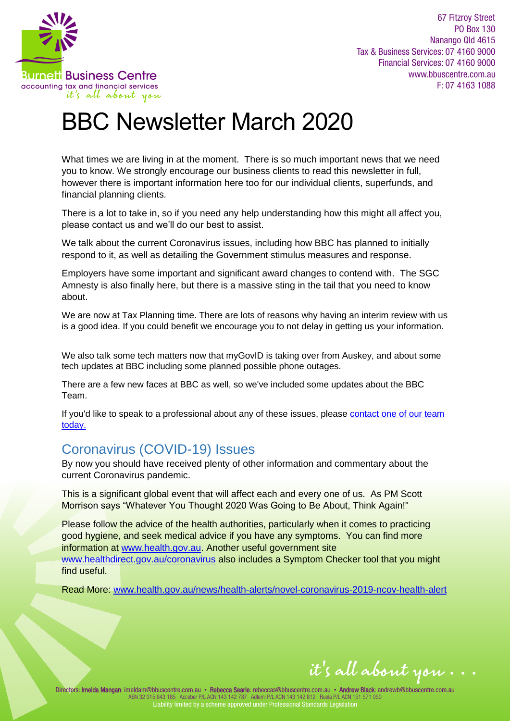

67 Fitzroy Street PO Box 130 Nanango Qld 4615 Tax & Business Services: 07 4160 9000 Financial Services: 07 4160 9000 www.bbuscentre.com.au  $F: 0741631088$ 

# BBC Newsletter March 2020

What times we are living in at the moment. There is so much important news that we need you to know. We strongly encourage our business clients to read this newsletter in full, however there is important information here too for our individual clients, superfunds, and financial planning clients.

There is a lot to take in, so if you need any help understanding how this might all affect you, please contact us and we'll do our best to assist.

We talk about the current Coronavirus issues, including how BBC has planned to initially respond to it, as well as detailing the Government stimulus measures and response.

Employers have some important and significant award changes to contend with. The SGC Amnesty is also finally here, but there is a massive sting in the tail that you need to know about.

We are now at Tax Planning time. There are lots of reasons why having an interim review with us is a good idea. If you could benefit we encourage you to not delay in getting us your information.

We also talk some tech matters now that myGovID is taking over from Auskey, and about some tech updates at BBC including some planned possible phone outages.

There are a few new faces at BBC as well, so we've included some updates about the BBC Team.

If you'd like to speak to a professional about any of these issues, please [contact one of our team](https://www.vision6.com.au/ch/28000/2ccvsw7/2316496/F93KKNOOekGcvr0kCnGAIIJWXs4tCEgsOMBxSMo..html)  [today.](https://www.vision6.com.au/ch/28000/2ccvsw7/2316496/F93KKNOOekGcvr0kCnGAIIJWXs4tCEgsOMBxSMo..html) 

### Coronavirus (COVID-19) Issues

By now you should have received plenty of other information and commentary about the current Coronavirus pandemic.

This is a significant global event that will affect each and every one of us. As PM Scott Morrison says "Whatever You Thought 2020 Was Going to Be About, Think Again!"

Please follow the advice of the health authorities, particularly when it comes to practicing good hygiene, and seek medical advice if you have any symptoms. You can find more information at [www.health.gov.au.](http://www.health.gov.au/) Another useful government site [www.healthdirect.gov.au/coronavirus](http://www.healthdirect.gov.au/coronavirus) also includes a Symptom Checker tool that you might find useful.

Read More: [www.health.gov.au/news/health-alerts/novel-coronavirus-2019-ncov-health-alert](https://www.health.gov.au/news/health-alerts/novel-coronavirus-2019-ncov-health-alert)

it's all about you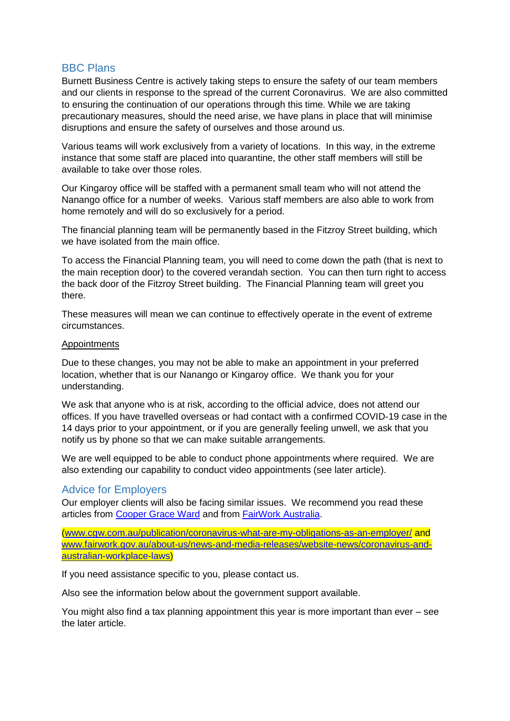#### BBC Plans

Burnett Business Centre is actively taking steps to ensure the safety of our team members and our clients in response to the spread of the current Coronavirus. We are also committed to ensuring the continuation of our operations through this time. While we are taking precautionary measures, should the need arise, we have plans in place that will minimise disruptions and ensure the safety of ourselves and those around us.

Various teams will work exclusively from a variety of locations. In this way, in the extreme instance that some staff are placed into quarantine, the other staff members will still be available to take over those roles.

Our Kingaroy office will be staffed with a permanent small team who will not attend the Nanango office for a number of weeks. Various staff members are also able to work from home remotely and will do so exclusively for a period.

The financial planning team will be permanently based in the Fitzroy Street building, which we have isolated from the main office.

To access the Financial Planning team, you will need to come down the path (that is next to the main reception door) to the covered verandah section. You can then turn right to access the back door of the Fitzroy Street building. The Financial Planning team will greet you there.

These measures will mean we can continue to effectively operate in the event of extreme circumstances.

#### Appointments

Due to these changes, you may not be able to make an appointment in your preferred location, whether that is our Nanango or Kingaroy office. We thank you for your understanding.

We ask that anyone who is at risk, according to the official advice, does not attend our offices. If you have travelled overseas or had contact with a confirmed COVID-19 case in the 14 days prior to your appointment, or if you are generally feeling unwell, we ask that you notify us by phone so that we can make suitable arrangements.

We are well equipped to be able to conduct phone appointments where required. We are also extending our capability to conduct video appointments (see later article).

#### Advice for Employers

Our employer clients will also be facing similar issues. We recommend you read these articles from [Cooper Grace Ward](https://www.cgw.com.au/publication/coronavirus-what-are-my-obligations-as-an-employer/?utm_campaign=Coronavirus%20%E2%80%93%20what%20are%20my%20obligations%20as%20an%20employer%3F) and fro[m FairWork Australia.](https://www.fairwork.gov.au/about-us/news-and-media-releases/website-news/coronavirus-and-australian-workplace-laws)

[\(www.cgw.com.au/publication/coronavirus-what-are-my-obligations-as-an-employer/](http://www.cgw.com.au/publication/coronavirus-what-are-my-obligations-as-an-employer/) and [www.fairwork.gov.au/about-us/news-and-media-releases/website-news/coronavirus-and](http://www.fairwork.gov.au/about-us/news-and-media-releases/website-news/coronavirus-and-australian-workplace-laws)[australian-workplace-laws\)](http://www.fairwork.gov.au/about-us/news-and-media-releases/website-news/coronavirus-and-australian-workplace-laws)

If you need assistance specific to you, please contact us.

Also see the information below about the government support available.

You might also find a tax planning appointment this year is more important than ever – see the later article.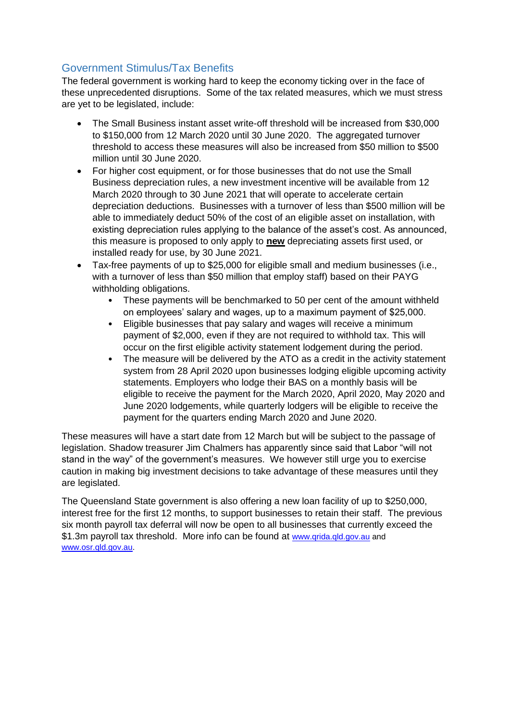#### Government Stimulus/Tax Benefits

The federal government is working hard to keep the economy ticking over in the face of these unprecedented disruptions. Some of the tax related measures, which we must stress are yet to be legislated, include:

- The Small Business instant asset write-off threshold will be increased from \$30,000 to \$150,000 from 12 March 2020 until 30 June 2020. The aggregated turnover threshold to access these measures will also be increased from \$50 million to \$500 million until 30 June 2020.
- For higher cost equipment, or for those businesses that do not use the Small Business depreciation rules, a new investment incentive will be available from 12 March 2020 through to 30 June 2021 that will operate to accelerate certain depreciation deductions. Businesses with a turnover of less than \$500 million will be able to immediately deduct 50% of the cost of an eligible asset on installation, with existing depreciation rules applying to the balance of the asset's cost. As announced, this measure is proposed to only apply to **new** depreciating assets first used, or installed ready for use, by 30 June 2021.
- Tax-free payments of up to \$25,000 for eligible small and medium businesses (i.e., with a turnover of less than \$50 million that employ staff) based on their PAYG withholding obligations.
	- These payments will be benchmarked to 50 per cent of the amount withheld on employees' salary and wages, up to a maximum payment of \$25,000.
	- Eligible businesses that pay salary and wages will receive a minimum payment of \$2,000, even if they are not required to withhold tax. This will occur on the first eligible activity statement lodgement during the period.
	- The measure will be delivered by the ATO as a credit in the activity statement system from 28 April 2020 upon businesses lodging eligible upcoming activity statements. Employers who lodge their BAS on a monthly basis will be eligible to receive the payment for the March 2020, April 2020, May 2020 and June 2020 lodgements, while quarterly lodgers will be eligible to receive the payment for the quarters ending March 2020 and June 2020.

These measures will have a start date from 12 March but will be subject to the passage of legislation. Shadow treasurer Jim Chalmers has apparently since said that Labor "will not stand in the way" of the government's measures. We however still urge you to exercise caution in making big investment decisions to take advantage of these measures until they are legislated.

The Queensland State government is also offering a new loan facility of up to \$250,000, interest free for the first 12 months, to support businesses to retain their staff. The previous six month payroll tax deferral will now be open to all businesses that currently exceed the \$1.3m payroll tax threshold. More info can be found at [www.qrida.qld.gov.au](http://www.qrida.qld.gov.au/) and [www.osr.qld.gov.au.](http://www.osr.qld.gov.au/)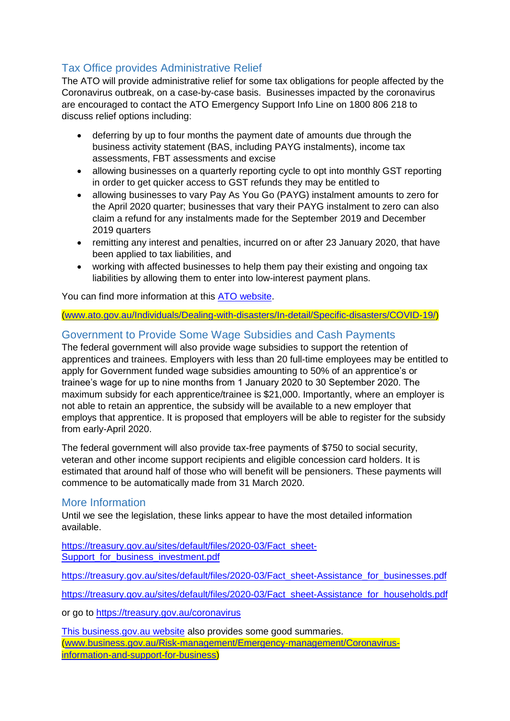#### Tax Office provides Administrative Relief

The ATO will provide administrative relief for some tax obligations for people affected by the Coronavirus outbreak, on a case-by-case basis. Businesses impacted by the coronavirus are encouraged to contact the ATO Emergency Support Info Line on 1800 806 218 to discuss relief options including:

- deferring by up to four months the payment date of amounts due through the business activity statement (BAS, including PAYG instalments), income tax assessments, FBT assessments and excise
- allowing businesses on a quarterly reporting cycle to opt into monthly GST reporting in order to get quicker access to GST refunds they may be entitled to
- allowing businesses to vary Pay As You Go (PAYG) instalment amounts to zero for the April 2020 quarter; businesses that vary their PAYG instalment to zero can also claim a refund for any instalments made for the September 2019 and December 2019 quarters
- remitting any interest and penalties, incurred on or after 23 January 2020, that have been applied to tax liabilities, and
- working with affected businesses to help them pay their existing and ongoing tax liabilities by allowing them to enter into low-interest payment plans.

You can find more information at thi[s ATO website.](https://www.ato.gov.au/Individuals/Dealing-with-disasters/In-detail/Specific-disasters/COVID-19/)

[\(www.ato.gov.au/Individuals/Dealing-with-disasters/In-detail/Specific-disasters/COVID-19/\)](http://www.ato.gov.au/Individuals/Dealing-with-disasters/In-detail/Specific-disasters/COVID-19/)

#### Government to Provide Some Wage Subsidies and Cash Payments

The federal government will also provide wage subsidies to support the retention of apprentices and trainees. Employers with less than 20 full-time employees may be entitled to apply for Government funded wage subsidies amounting to 50% of an apprentice's or trainee's wage for up to nine months from 1 January 2020 to 30 September 2020. The maximum subsidy for each apprentice/trainee is \$21,000. Importantly, where an employer is not able to retain an apprentice, the subsidy will be available to a new employer that employs that apprentice. It is proposed that employers will be able to register for the subsidy from early-April 2020.

The federal government will also provide tax-free payments of \$750 to social security, veteran and other income support recipients and eligible concession card holders. It is estimated that around half of those who will benefit will be pensioners. These payments will commence to be automatically made from 31 March 2020.

#### More Information

Until we see the legislation, these links appear to have the most detailed information available.

[https://treasury.gov.au/sites/default/files/2020-03/Fact\\_sheet-](https://treasury.gov.au/sites/default/files/2020-03/Fact_sheet-Support_for_business_investment.pdf)[Support\\_for\\_business\\_investment.pdf](https://treasury.gov.au/sites/default/files/2020-03/Fact_sheet-Support_for_business_investment.pdf)

[https://treasury.gov.au/sites/default/files/2020-03/Fact\\_sheet-Assistance\\_for\\_businesses.pdf](https://treasury.gov.au/sites/default/files/2020-03/Fact_sheet-Assistance_for_businesses.pdf)

[https://treasury.gov.au/sites/default/files/2020-03/Fact\\_sheet-Assistance\\_for\\_households.pdf](https://treasury.gov.au/sites/default/files/2020-03/Fact_sheet-Assistance_for_households.pdf)

or go to<https://treasury.gov.au/coronavirus>

[This business.gov.au website](https://www.business.gov.au/Risk-management/Emergency-management/Coronavirus-information-and-support-for-business) also provides some good summaries. [\(www.business.gov.au/Risk-management/Emergency-management/Coronavirus](http://www.business.gov.au/Risk-management/Emergency-management/Coronavirus-information-and-support-for-business)[information-and-support-for-business\)](http://www.business.gov.au/Risk-management/Emergency-management/Coronavirus-information-and-support-for-business)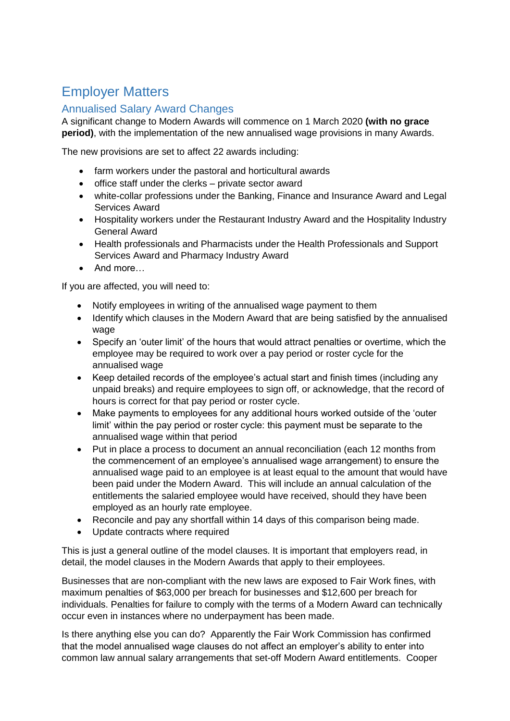# Employer Matters

#### Annualised Salary Award Changes

A significant change to Modern Awards will commence on 1 March 2020 **(with no grace period)**, with the implementation of the new annualised wage provisions in many Awards.

The new provisions are set to affect 22 awards including:

- farm workers under the pastoral and horticultural awards
- office staff under the clerks private sector award
- white-collar professions under the Banking, Finance and Insurance Award and Legal Services Award
- Hospitality workers under the Restaurant Industry Award and the Hospitality Industry General Award
- Health professionals and Pharmacists under the Health Professionals and Support Services Award and Pharmacy Industry Award
- And more

If you are affected, you will need to:

- Notify employees in writing of the annualised wage payment to them
- Identify which clauses in the Modern Award that are being satisfied by the annualised wage
- Specify an 'outer limit' of the hours that would attract penalties or overtime, which the employee may be required to work over a pay period or roster cycle for the annualised wage
- Keep detailed records of the employee's actual start and finish times (including any unpaid breaks) and require employees to sign off, or acknowledge, that the record of hours is correct for that pay period or roster cycle.
- Make payments to employees for any additional hours worked outside of the 'outer limit' within the pay period or roster cycle: this payment must be separate to the annualised wage within that period
- Put in place a process to document an annual reconciliation (each 12 months from the commencement of an employee's annualised wage arrangement) to ensure the annualised wage paid to an employee is at least equal to the amount that would have been paid under the Modern Award. This will include an annual calculation of the entitlements the salaried employee would have received, should they have been employed as an hourly rate employee.
- Reconcile and pay any shortfall within 14 days of this comparison being made.
- Update contracts where required

This is just a general outline of the model clauses. It is important that employers read, in detail, the model clauses in the Modern Awards that apply to their employees.

Businesses that are non-compliant with the new laws are exposed to Fair Work fines, with maximum penalties of \$63,000 per breach for businesses and \$12,600 per breach for individuals. Penalties for failure to comply with the terms of a Modern Award can technically occur even in instances where no underpayment has been made.

Is there anything else you can do? Apparently the Fair Work Commission has confirmed that the model annualised wage clauses do not affect an employer's ability to enter into common law annual salary arrangements that set-off Modern Award entitlements. Cooper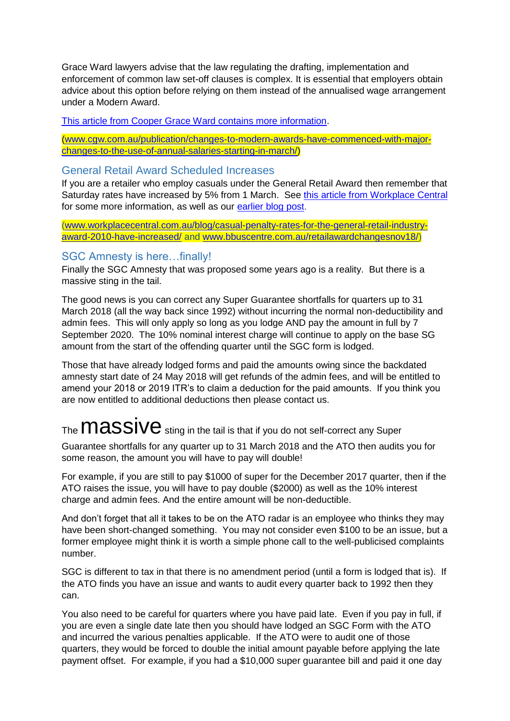Grace Ward lawyers advise that the law regulating the drafting, implementation and enforcement of common law set-off clauses is complex. It is essential that employers obtain advice about this option before relying on them instead of the annualised wage arrangement under a Modern Award.

[This article from Cooper Grace Ward contains more information.](https://www.cgw.com.au/publication/changes-to-modern-awards-have-commenced-with-major-changes-to-the-use-of-annual-salaries-starting-in-march/)

[\(www.cgw.com.au/publication/changes-to-modern-awards-have-commenced-with-major](http://www.cgw.com.au/publication/changes-to-modern-awards-have-commenced-with-major-changes-to-the-use-of-annual-salaries-starting-in-march/)[changes-to-the-use-of-annual-salaries-starting-in-march/\)](http://www.cgw.com.au/publication/changes-to-modern-awards-have-commenced-with-major-changes-to-the-use-of-annual-salaries-starting-in-march/)

#### General Retail Award Scheduled Increases

If you are a retailer who employ casuals under the General Retail Award then remember that Saturday rates have increased by 5% from 1 March. See [this article from Workplace Central](https://www.workplacecentral.com.au/blog/casual-penalty-rates-for-the-general-retail-industry-award-2010-have-increased/) for some more information, as well as our [earlier blog post.](https://www.bbuscentre.com.au/retailawardchangesnov18/)

[\(www.workplacecentral.com.au/blog/casual-penalty-rates-for-the-general-retail-industry](http://www.workplacecentral.com.au/blog/casual-penalty-rates-for-the-general-retail-industry-award-2010-have-increased/)[award-2010-have-increased/](http://www.workplacecentral.com.au/blog/casual-penalty-rates-for-the-general-retail-industry-award-2010-have-increased/) and [www.bbuscentre.com.au/retailawardchangesnov18/\)](http://www.bbuscentre.com.au/retailawardchangesnov18/)

#### SGC Amnesty is here…finally!

Finally the SGC Amnesty that was proposed some years ago is a reality. But there is a massive sting in the tail.

The good news is you can correct any Super Guarantee shortfalls for quarters up to 31 March 2018 (all the way back since 1992) without incurring the normal non-deductibility and admin fees. This will only apply so long as you lodge AND pay the amount in full by 7 September 2020. The 10% nominal interest charge will continue to apply on the base SG amount from the start of the offending quarter until the SGC form is lodged.

Those that have already lodged forms and paid the amounts owing since the backdated amnesty start date of 24 May 2018 will get refunds of the admin fees, and will be entitled to amend your 2018 or 2019 ITR's to claim a deduction for the paid amounts. If you think you are now entitled to additional deductions then please contact us.

# The  $massive$  sting in the tail is that if you do not self-correct any Super

Guarantee shortfalls for any quarter up to 31 March 2018 and the ATO then audits you for some reason, the amount you will have to pay will double!

For example, if you are still to pay \$1000 of super for the December 2017 quarter, then if the ATO raises the issue, you will have to pay double (\$2000) as well as the 10% interest charge and admin fees. And the entire amount will be non-deductible.

And don't forget that all it takes to be on the ATO radar is an employee who thinks they may have been short-changed something. You may not consider even \$100 to be an issue, but a former employee might think it is worth a simple phone call to the well-publicised complaints number.

SGC is different to tax in that there is no amendment period (until a form is lodged that is). If the ATO finds you have an issue and wants to audit every quarter back to 1992 then they can.

You also need to be careful for quarters where you have paid late. Even if you pay in full, if you are even a single date late then you should have lodged an SGC Form with the ATO and incurred the various penalties applicable. If the ATO were to audit one of those quarters, they would be forced to double the initial amount payable before applying the late payment offset. For example, if you had a \$10,000 super guarantee bill and paid it one day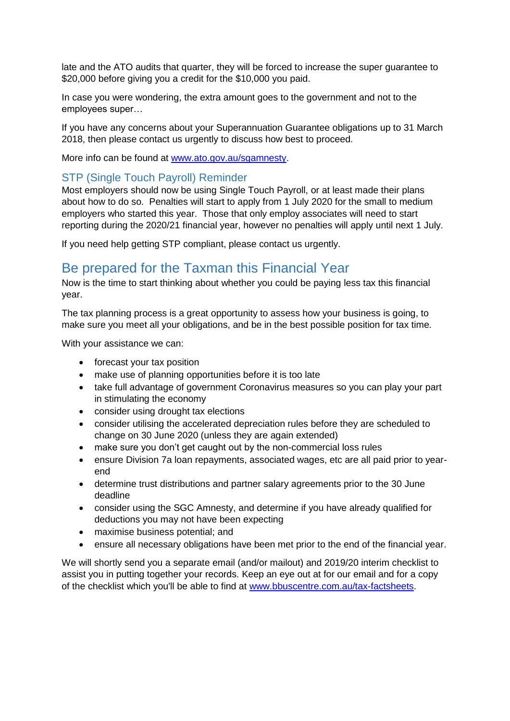late and the ATO audits that quarter, they will be forced to increase the super guarantee to \$20,000 before giving you a credit for the \$10,000 you paid.

In case you were wondering, the extra amount goes to the government and not to the employees super…

If you have any concerns about your Superannuation Guarantee obligations up to 31 March 2018, then please contact us urgently to discuss how best to proceed.

More info can be found at [www.ato.gov.au/sgamnesty.](http://www.ato.gov.au/sgamnesty)

#### STP (Single Touch Payroll) Reminder

Most employers should now be using Single Touch Payroll, or at least made their plans about how to do so. Penalties will start to apply from 1 July 2020 for the small to medium employers who started this year. Those that only employ associates will need to start reporting during the 2020/21 financial year, however no penalties will apply until next 1 July.

If you need help getting STP compliant, please contact us urgently.

### Be prepared for the Taxman this Financial Year

Now is the time to start thinking about whether you could be paying less tax this financial year.

The tax planning process is a great opportunity to assess how your business is going, to make sure you meet all your obligations, and be in the best possible position for tax time.

With your assistance we can:

- forecast your tax position
- make use of planning opportunities before it is too late
- take full advantage of government Coronavirus measures so you can play your part in stimulating the economy
- consider using drought tax elections
- consider utilising the accelerated depreciation rules before they are scheduled to change on 30 June 2020 (unless they are again extended)
- make sure you don't get caught out by the non-commercial loss rules
- ensure Division 7a loan repayments, associated wages, etc are all paid prior to yearend
- determine trust distributions and partner salary agreements prior to the 30 June deadline
- consider using the SGC Amnesty, and determine if you have already qualified for deductions you may not have been expecting
- maximise business potential; and
- ensure all necessary obligations have been met prior to the end of the financial year.

We will shortly send you a separate email (and/or mailout) and 2019/20 interim checklist to assist you in putting together your records. Keep an eye out at for our email and for a copy of the checklist which you'll be able to find at [www.bbuscentre.com.au/tax-factsheets.](http://www.bbuscentre.com.au/tax-factsheets)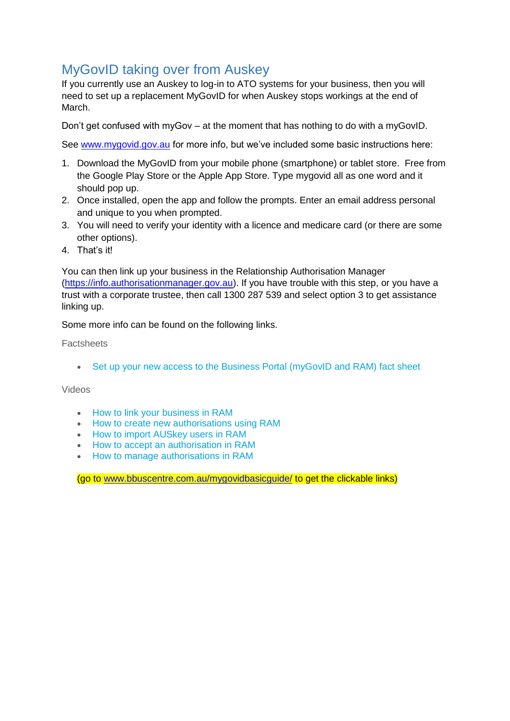# MyGovID taking over from Auskey

If you currently use an Auskey to log-in to ATO systems for your business, then you will need to set up a replacement MyGovID for when Auskey stops workings at the end of March.

Don't get confused with myGov – at the moment that has nothing to do with a myGovID.

See [www.mygovid.gov.au](http://www.mygovid.gov.au/) for more info, but we've included some basic instructions here:

- 1. Download the MyGovID from your mobile phone (smartphone) or tablet store. Free from the Google Play Store or the Apple App Store. Type mygovid all as one word and it should pop up.
- 2. Once installed, open the app and follow the prompts. Enter an email address personal and unique to you when prompted.
- 3. You will need to verify your identity with a licence and medicare card (or there are some other options).
- 4. That's it!

You can then link up your business in the Relationship Authorisation Manager [\(https://info.authorisationmanager.gov.au\)](https://info.authorisationmanager.gov.au/). If you have trouble with this step, or you have a trust with a corporate trustee, then call 1300 287 539 and select option 3 to get assistance linking up.

Some more info can be found on the following links.

**Factsheets** 

• Set up your new access to the Business Portal (myGovID and RAM) fact sheet

Videos

- [How to link your business in RAM](https://publish.viostream.com/play/bd1bdiuni9z7zg)
- [How to create new authorisations using RAM](https://publish.viostream.com/play/bd1bdiuni9z7s9)
- [How to import AUSkey users in RAM](https://publish.viostream.com/play/bd1bdiuni9z7zy)
- [How to accept an authorisation in RAM](https://publish.viostream.com/play/bd1bdiuni9z7zf)
- [How to manage authorisations in RAM](https://publish.viostream.com/play/bd1bdiunzokh83)

(go t[o www.bbuscentre.com.au/mygovidbasicguide/](http://www.bbuscentre.com.au/mygovidbasicguide/) to get the clickable links)